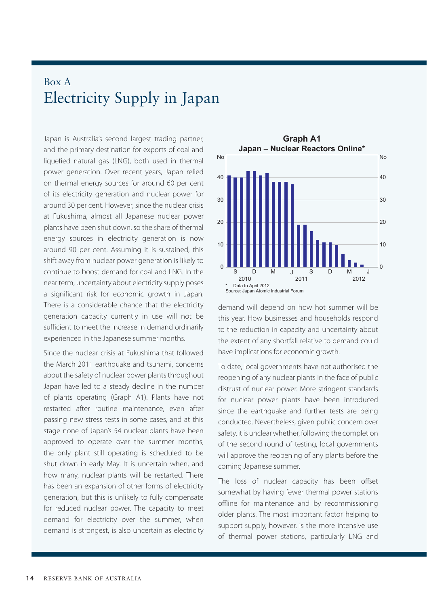## Box A Electricity Supply in Japan

Japan is Australia's second largest trading partner, and the primary destination for exports of coal and liquefied natural gas (LNG), both used in thermal power generation. Over recent years, Japan relied on thermal energy sources for around 60 per cent of its electricity generation and nuclear power for around 30 per cent. However, since the nuclear crisis at Fukushima, almost all Japanese nuclear power plants have been shut down, so the share of thermal energy sources in electricity generation is now around 90 per cent. Assuming it is sustained, this shift away from nuclear power generation is likely to continue to boost demand for coal and LNG. In the near term, uncertainty about electricity supply poses a significant risk for economic growth in Japan. There is a considerable chance that the electricity generation capacity currently in use will not be sufficient to meet the increase in demand ordinarily experienced in the Japanese summer months.

Since the nuclear crisis at Fukushima that followed the March 2011 earthquake and tsunami, concerns about the safety of nuclear power plants throughout Japan have led to a steady decline in the number of plants operating (Graph A1). Plants have not restarted after routine maintenance, even after passing new stress tests in some cases, and at this stage none of Japan's 54 nuclear plants have been approved to operate over the summer months; the only plant still operating is scheduled to be shut down in early May. It is uncertain when, and how many, nuclear plants will be restarted. There has been an expansion of other forms of electricity generation, but this is unlikely to fully compensate for reduced nuclear power. The capacity to meet demand for electricity over the summer, when demand is strongest, is also uncertain as electricity



demand will depend on how hot summer will be this year. How businesses and households respond to the reduction in capacity and uncertainty about the extent of any shortfall relative to demand could have implications for economic growth.

To date, local governments have not authorised the reopening of any nuclear plants in the face of public distrust of nuclear power. More stringent standards for nuclear power plants have been introduced since the earthquake and further tests are being conducted. Nevertheless, given public concern over safety, it is unclear whether, following the completion of the second round of testing, local governments will approve the reopening of any plants before the coming Japanese summer.

The loss of nuclear capacity has been offset somewhat by having fewer thermal power stations offline for maintenance and by recommissioning older plants. The most important factor helping to support supply, however, is the more intensive use of thermal power stations, particularly LNG and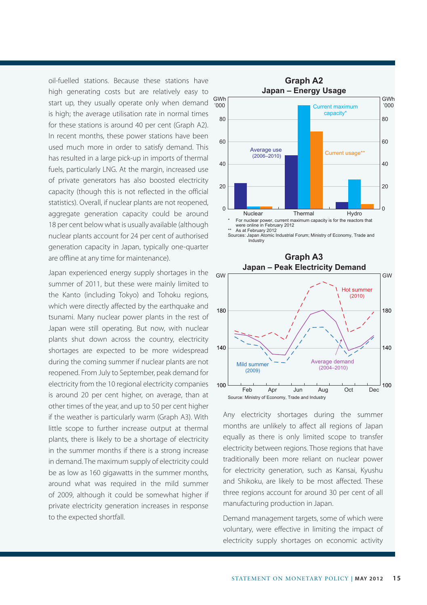oil‑fuelled stations. Because these stations have high generating costs but are relatively easy to start up, they usually operate only when demand is high; the average utilisation rate in normal times for these stations is around 40 per cent (Graph A2). In recent months, these power stations have been used much more in order to satisfy demand. This has resulted in a large pick-up in imports of thermal fuels, particularly LNG. At the margin, increased use of private generators has also boosted electricity capacity (though this is not reflected in the official statistics). Overall, if nuclear plants are not reopened, aggregate generation capacity could be around 18 per cent below what is usually available (although nuclear plants account for 24 per cent of authorised generation capacity in Japan, typically one-quarter are offline at any time for maintenance).

Japan experienced energy supply shortages in the summer of 2011, but these were mainly limited to the Kanto (including Tokyo) and Tohoku regions, which were directly affected by the earthquake and tsunami. Many nuclear power plants in the rest of Japan were still operating. But now, with nuclear plants shut down across the country, electricity shortages are expected to be more widespread during the coming summer if nuclear plants are not reopened. From July to September, peak demand for electricity from the 10 regional electricity companies is around 20 per cent higher, on average, than at other times of the year, and up to 50 per cent higher if the weather is particularly warm (Graph A3). With little scope to further increase output at thermal plants, there is likely to be a shortage of electricity in the summer months if there is a strong increase in demand. The maximum supply of electricity could be as low as 160 gigawatts in the summer months, around what was required in the mild summer of 2009, although it could be somewhat higher if private electricity generation increases in response to the expected shortfall.

100



Any electricity shortages during the summer months are unlikely to affect all regions of Japan equally as there is only limited scope to transfer electricity between regions. Those regions that have traditionally been more reliant on nuclear power for electricity generation, such as Kansai, Kyushu and Shikoku, are likely to be most affected. These three regions account for around 30 per cent of all manufacturing production in Japan.

Feb Apr Jun Aug Oct

Source: Ministry of Economy, Trade and Industry

Mild summer (2009)

100

Dec

Average demand (2004–2010)

Demand management targets, some of which were voluntary, were effective in limiting the impact of electricity supply shortages on economic activity